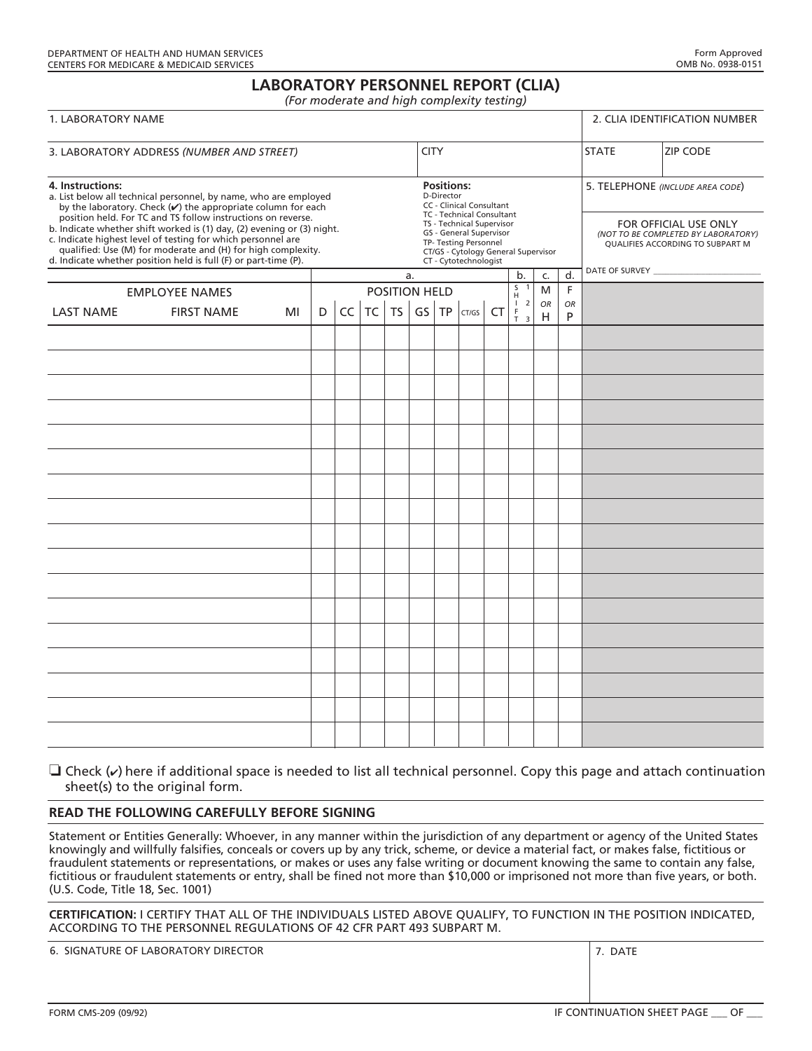# **LABORATORY PERSONNEL REPORT (CLIA)**

*(For moderate and high complexity testing)* 

| 1. LABORATORY NAME                                                                                                                                                                                                                                                        |                   |    |   |    |           |                                                                                                                                               |  |               |       |           |                                                                                     | 2. CLIA IDENTIFICATION NUMBER                                                                    |                |              |                 |
|---------------------------------------------------------------------------------------------------------------------------------------------------------------------------------------------------------------------------------------------------------------------------|-------------------|----|---|----|-----------|-----------------------------------------------------------------------------------------------------------------------------------------------|--|---------------|-------|-----------|-------------------------------------------------------------------------------------|--------------------------------------------------------------------------------------------------|----------------|--------------|-----------------|
| 3. LABORATORY ADDRESS (NUMBER AND STREET)                                                                                                                                                                                                                                 |                   |    |   |    |           |                                                                                                                                               |  | <b>CITY</b>   |       |           |                                                                                     |                                                                                                  |                | <b>STATE</b> | <b>ZIP CODE</b> |
| 4. Instructions:<br>a. List below all technical personnel, by name, who are employed<br>by the laboratory. Check $(v)$ the appropriate column for each<br>position held. For TC and TS follow instructions on reverse.                                                    |                   |    |   |    |           | <b>Positions:</b><br>D-Director<br>CC - Clinical Consultant<br>TC - Technical Consultant                                                      |  |               |       |           |                                                                                     | 5. TELEPHONE (INCLUDE AREA CODE)                                                                 |                |              |                 |
| b. Indicate whether shift worked is (1) day, (2) evening or (3) night.<br>c. Indicate highest level of testing for which personnel are<br>qualified: Use (M) for moderate and (H) for high complexity.<br>d. Indicate whether position held is full (F) or part-time (P). |                   |    |   |    |           | TS - Technical Supervisor<br>GS - General Supervisor<br>TP- Testing Personnel<br>CT/GS - Cytology General Supervisor<br>CT - Cytotechnologist |  |               |       |           |                                                                                     | FOR OFFICIAL USE ONLY<br>(NOT TO BE COMPLETED BY LABORATORY)<br>QUALIFIES ACCORDING TO SUBPART M |                |              |                 |
|                                                                                                                                                                                                                                                                           |                   |    |   |    | a.        |                                                                                                                                               |  |               |       | c.        | d.                                                                                  |                                                                                                  |                |              |                 |
| <b>EMPLOYEE NAMES</b>                                                                                                                                                                                                                                                     |                   |    |   |    |           |                                                                                                                                               |  | POSITION HELD |       |           |                                                                                     | M                                                                                                | F              |              |                 |
| <b>LAST NAME</b>                                                                                                                                                                                                                                                          | <b>FIRST NAME</b> | MI | D | CC | <b>TC</b> | TS                                                                                                                                            |  | GS   TP       | CT/GS | <b>CT</b> | $\overline{2}$<br>$\mathbf{I}$<br>$\frac{\mathsf{F}}{\mathsf{T}}$<br>$\overline{3}$ | <b>OR</b><br>H                                                                                   | <b>OR</b><br>P |              |                 |
|                                                                                                                                                                                                                                                                           |                   |    |   |    |           |                                                                                                                                               |  |               |       |           |                                                                                     |                                                                                                  |                |              |                 |
|                                                                                                                                                                                                                                                                           |                   |    |   |    |           |                                                                                                                                               |  |               |       |           |                                                                                     |                                                                                                  |                |              |                 |
|                                                                                                                                                                                                                                                                           |                   |    |   |    |           |                                                                                                                                               |  |               |       |           |                                                                                     |                                                                                                  |                |              |                 |
|                                                                                                                                                                                                                                                                           |                   |    |   |    |           |                                                                                                                                               |  |               |       |           |                                                                                     |                                                                                                  |                |              |                 |
|                                                                                                                                                                                                                                                                           |                   |    |   |    |           |                                                                                                                                               |  |               |       |           |                                                                                     |                                                                                                  |                |              |                 |
|                                                                                                                                                                                                                                                                           |                   |    |   |    |           |                                                                                                                                               |  |               |       |           |                                                                                     |                                                                                                  |                |              |                 |
|                                                                                                                                                                                                                                                                           |                   |    |   |    |           |                                                                                                                                               |  |               |       |           |                                                                                     |                                                                                                  |                |              |                 |
|                                                                                                                                                                                                                                                                           |                   |    |   |    |           |                                                                                                                                               |  |               |       |           |                                                                                     |                                                                                                  |                |              |                 |
|                                                                                                                                                                                                                                                                           |                   |    |   |    |           |                                                                                                                                               |  |               |       |           |                                                                                     |                                                                                                  |                |              |                 |
|                                                                                                                                                                                                                                                                           |                   |    |   |    |           |                                                                                                                                               |  |               |       |           |                                                                                     |                                                                                                  |                |              |                 |
|                                                                                                                                                                                                                                                                           |                   |    |   |    |           |                                                                                                                                               |  |               |       |           |                                                                                     |                                                                                                  |                |              |                 |
|                                                                                                                                                                                                                                                                           |                   |    |   |    |           |                                                                                                                                               |  |               |       |           |                                                                                     |                                                                                                  |                |              |                 |
|                                                                                                                                                                                                                                                                           |                   |    |   |    |           |                                                                                                                                               |  |               |       |           |                                                                                     |                                                                                                  |                |              |                 |
|                                                                                                                                                                                                                                                                           |                   |    |   |    |           |                                                                                                                                               |  |               |       |           |                                                                                     |                                                                                                  |                |              |                 |
|                                                                                                                                                                                                                                                                           |                   |    |   |    |           |                                                                                                                                               |  |               |       |           |                                                                                     |                                                                                                  |                |              |                 |
|                                                                                                                                                                                                                                                                           |                   |    |   |    |           |                                                                                                                                               |  |               |       |           |                                                                                     |                                                                                                  |                |              |                 |

 $\Box$  Check  $(\nu)$  here if additional space is needed to list all technical personnel. Copy this page and attach continuation sheet(s) to the original form.

#### **READ THE FOLLOWING CAREFULLY BEFORE SIGNING**

Statement or Entities Generally: Whoever, in any manner within the jurisdiction of any department or agency of the United States knowingly and willfully falsifies, conceals or covers up by any trick, scheme, or device a material fact, or makes false, fictitious or fraudulent statements or representations, or makes or uses any false writing or document knowing the same to contain any false, fictitious or fraudulent statements or entry, shall be fined not more than \$10,000 or imprisoned not more than five years, or both. (U.S. Code, Title 18, Sec. 1001)

**CERTIFICATION:** I CERTIFY THAT ALL OF THE INDIVIDUALS LISTED ABOVE QUALIFY, TO FUNCTION IN THE POSITION INDICATED, ACCORDING TO THE PERSONNEL REGULATIONS OF 42 CFR PART 493 SUBPART M.

6. SIGNATURE OF LABORATORY DIRECTOR 7. DATE